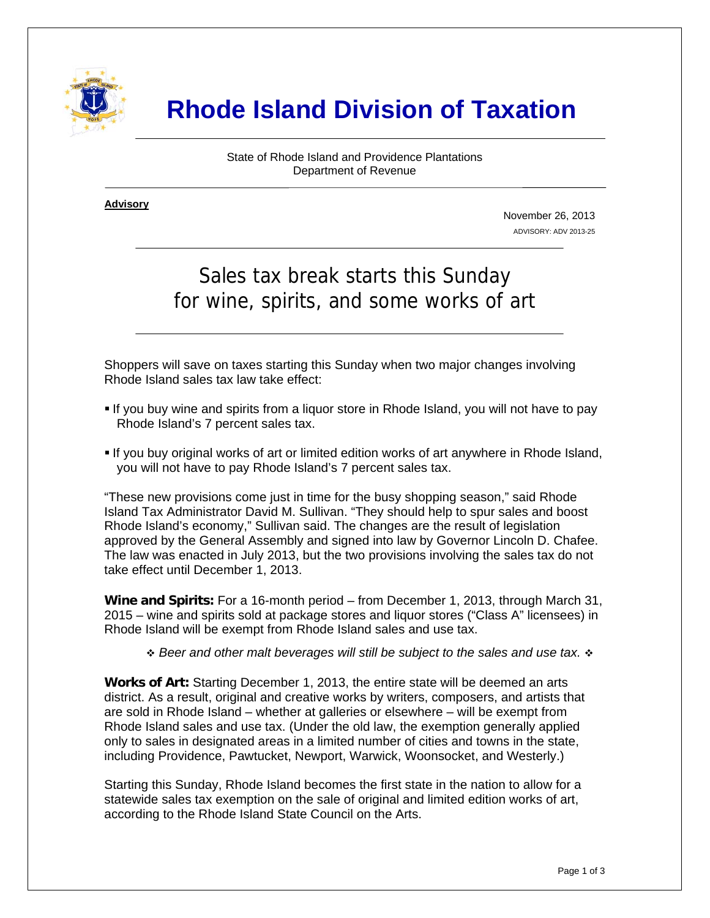

# **Rhode Island Division of Taxation**

State of Rhode Island and Providence Plantations Department of Revenue

**Advisory** ٦

i

November 26, 2013 ADVISORY: ADV 2013-25

## Sales tax break starts this Sunday for wine, spirits, and some works of art

Shoppers will save on taxes starting this Sunday when two major changes involving Rhode Island sales tax law take effect:

- If you buy wine and spirits from a liquor store in Rhode Island, you will not have to pay Rhode Island's 7 percent sales tax.
- If you buy original works of art or limited edition works of art anywhere in Rhode Island, you will not have to pay Rhode Island's 7 percent sales tax.

"These new provisions come just in time for the busy shopping season," said Rhode Island Tax Administrator David M. Sullivan. "They should help to spur sales and boost Rhode Island's economy," Sullivan said. The changes are the result of legislation approved by the General Assembly and signed into law by Governor Lincoln D. Chafee. The law was enacted in July 2013, but the two provisions involving the sales tax do not take effect until December 1, 2013.

**Wine and Spirits:** For a 16-month period – from December 1, 2013, through March 31, 2015 – wine and spirits sold at package stores and liquor stores ("Class A" licensees) in Rhode Island will be exempt from Rhode Island sales and use tax.

 *Beer and other malt beverages will still be subject to the sales and use tax.*

**Works of Art:** Starting December 1, 2013, the entire state will be deemed an arts district. As a result, original and creative works by writers, composers, and artists that are sold in Rhode Island – whether at galleries or elsewhere – will be exempt from Rhode Island sales and use tax. (Under the old law, the exemption generally applied only to sales in designated areas in a limited number of cities and towns in the state, including Providence, Pawtucket, Newport, Warwick, Woonsocket, and Westerly.)

Starting this Sunday, Rhode Island becomes the first state in the nation to allow for a statewide sales tax exemption on the sale of original and limited edition works of art, according to the Rhode Island State Council on the Arts.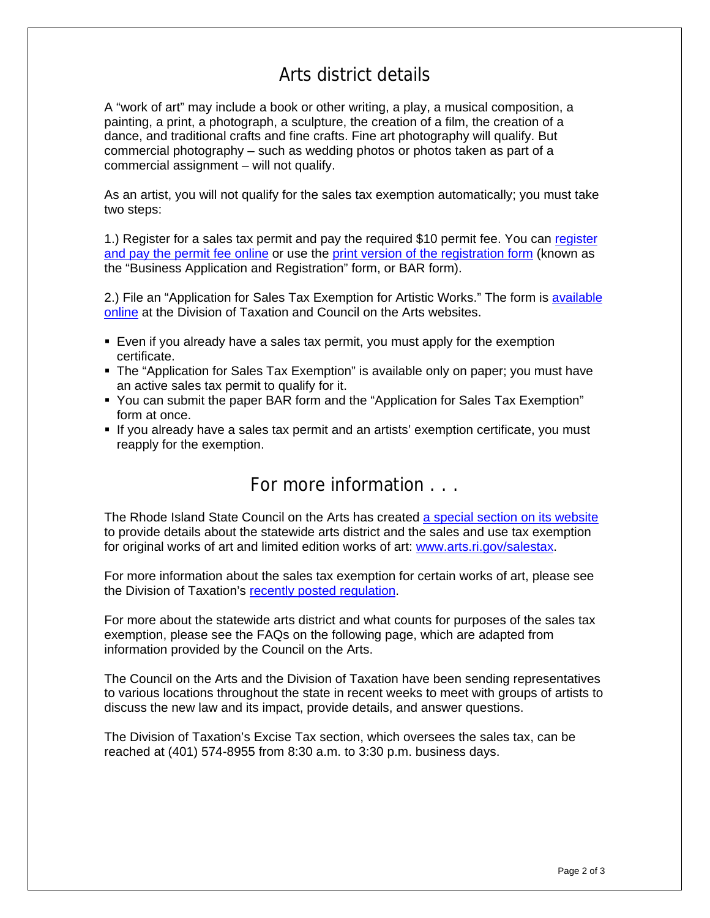## Arts district details

A "work of art" may include a book or other writing, a play, a musical composition, a painting, a print, a photograph, a sculpture, the creation of a film, the creation of a dance, and traditional crafts and fine crafts. Fine art photography will qualify. But commercial photography – such as wedding photos or photos taken as part of a commercial assignment – will not qualify.

As an artist, you will not qualify for the sales tax exemption automatically; you must take two steps:

1.) Register for a sales tax permit and pay the required \$10 permit fee. You can [register](https://www.ri.gov/taxation/BAR/)  [and pay the permit fee online](https://www.ri.gov/taxation/BAR/) or use the [print version of the registration form](http://www.tax.ri.gov/forms/2010/BAR%20092010.pdf) (known as the "Business Application and Registration" form, or BAR form).

2.) File an "Application for Sales Tax Exemption for Artistic Works." The form is [available](http://www.tax.ri.gov/forms/2013/Excise/Artistic%20Works%20Sales%20Tax%20Exemption.pdf)  [online](http://www.tax.ri.gov/forms/2013/Excise/Artistic%20Works%20Sales%20Tax%20Exemption.pdf) at the Division of Taxation and Council on the Arts websites.

- Even if you already have a sales tax permit, you must apply for the exemption certificate.
- The "Application for Sales Tax Exemption" is available only on paper; you must have an active sales tax permit to qualify for it.
- You can submit the paper BAR form and the "Application for Sales Tax Exemption" form at once.
- If you already have a sales tax permit and an artists' exemption certificate, you must reapply for the exemption.

## For more information . . .

The Rhode Island State Council on the Arts has created [a special section on its website](http://www.arts.ri.gov/projects/salestax/index.php#howitworks) to provide details about the statewide arts district and the sales and use tax exemption for original works of art and limited edition works of art: [www.arts.ri.gov/salestax.](http://www.arts.ri.gov/salestax)

For more information about the sales tax exemption for certain works of art, please see the Division of Taxation's [recently posted regulation](http://www.sos.ri.gov/documents/archives/regdocs/released/pdf/DOTAX/7497.pdf).

For more about the statewide arts district and what counts for purposes of the sales tax exemption, please see the FAQs on the following page, which are adapted from information provided by the Council on the Arts.

The Council on the Arts and the Division of Taxation have been sending representatives to various locations throughout the state in recent weeks to meet with groups of artists to discuss the new law and its impact, provide details, and answer questions.

The Division of Taxation's Excise Tax section, which oversees the sales tax, can be reached at (401) 574-8955 from 8:30 a.m. to 3:30 p.m. business days.